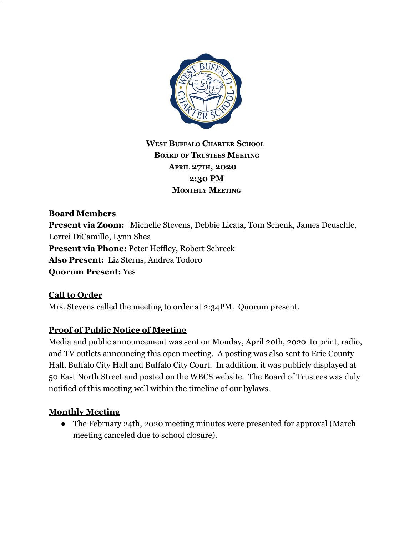

# **WEST BUFFALO CHARTER SCHOOL BOARD OF TRUSTEES MEETING APRIL 27TH, 2020 2:30 PM MONTHLY MEETING**

# **Board Members**

**Present via Zoom:** Michelle Stevens, Debbie Licata, Tom Schenk, James Deuschle, Lorrei DiCamillo, Lynn Shea **Present via Phone:** Peter Heffley, Robert Schreck **Also Present:** Liz Sterns, Andrea Todoro **Quorum Present:** Yes

### **Call to Order**

Mrs. Stevens called the meeting to order at 2:34PM. Quorum present.

### **Proof of Public Notice of Meeting**

Media and public announcement was sent on Monday, April 20th, 2020 to print, radio, and TV outlets announcing this open meeting. A posting was also sent to Erie County Hall, Buffalo City Hall and Buffalo City Court. In addition, it was publicly displayed at 50 East North Street and posted on the WBCS website. The Board of Trustees was duly notified of this meeting well within the timeline of our bylaws.

### **Monthly Meeting**

• The February 24th, 2020 meeting minutes were presented for approval (March meeting canceled due to school closure).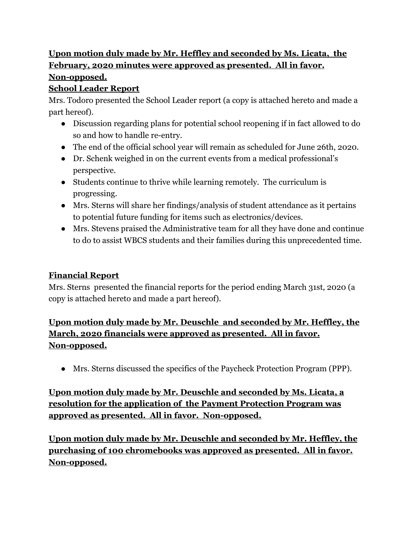# **Upon motion duly made by Mr. Heffley and seconded by Ms. Licata, the February, 2020 minutes were approved as presented. All in favor. Non-opposed.**

# **School Leader Report**

Mrs. Todoro presented the School Leader report (a copy is attached hereto and made a part hereof).

- Discussion regarding plans for potential school reopening if in fact allowed to do so and how to handle re-entry.
- The end of the official school year will remain as scheduled for June 26th, 2020.
- Dr. Schenk weighed in on the current events from a medical professional's perspective.
- Students continue to thrive while learning remotely. The curriculum is progressing.
- Mrs. Sterns will share her findings/analysis of student attendance as it pertains to potential future funding for items such as electronics/devices.
- Mrs. Stevens praised the Administrative team for all they have done and continue to do to assist WBCS students and their families during this unprecedented time.

# **Financial Report**

Mrs. Sterns presented the financial reports for the period ending March 31st, 2020 (a copy is attached hereto and made a part hereof).

# **Upon motion duly made by Mr. Deuschle and seconded by Mr. Heffley, the March, 2020 financials were approved as presented. All in favor. Non-opposed.**

● Mrs. Sterns discussed the specifics of the Paycheck Protection Program (PPP).

**Upon motion duly made by Mr. Deuschle and seconded by Ms. Licata, a resolution for the application of the Payment Protection Program was approved as presented. All in favor. Non-opposed.**

**Upon motion duly made by Mr. Deuschle and seconded by Mr. Heffley, the purchasing of 100 chromebooks was approved as presented. All in favor. Non-opposed.**